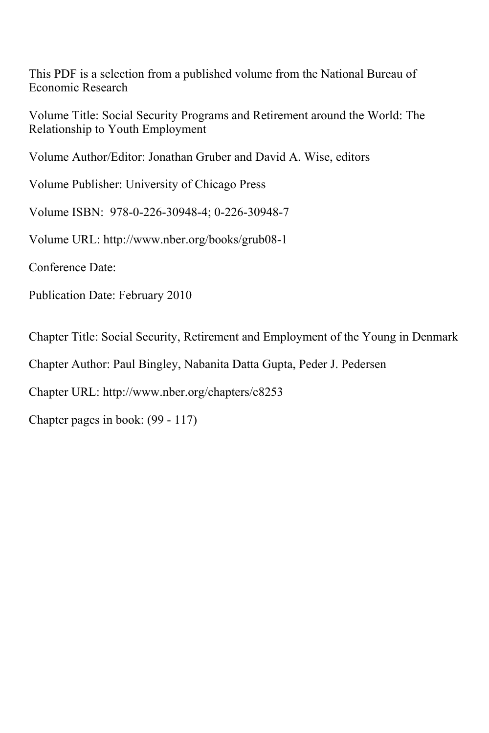This PDF is a selection from a published volume from the National Bureau of Economic Research

Volume Title: Social Security Programs and Retirement around the World: The Relationship to Youth Employment

Volume Author/Editor: Jonathan Gruber and David A. Wise, editors

Volume Publisher: University of Chicago Press

Volume ISBN: 978-0-226-30948-4; 0-226-30948-7

Volume URL: http://www.nber.org/books/grub08-1

Conference Date:

Publication Date: February 2010

Chapter Title: Social Security, Retirement and Employment of the Young in Denmark

Chapter Author: Paul Bingley, Nabanita Datta Gupta, Peder J. Pedersen

Chapter URL: http://www.nber.org/chapters/c8253

Chapter pages in book: (99 - 117)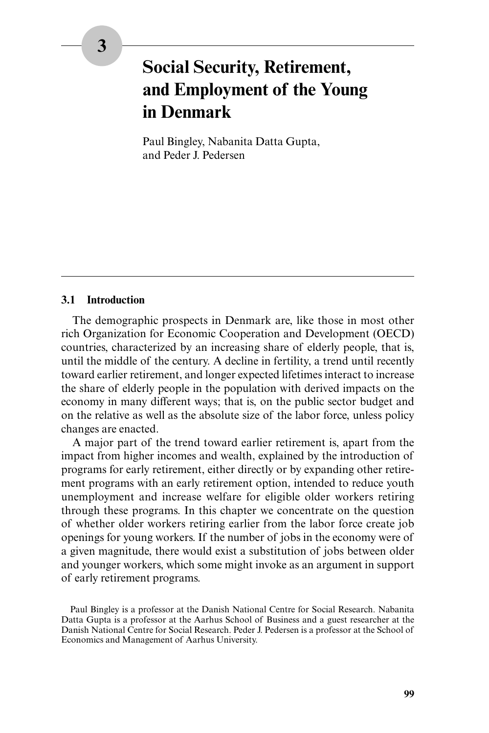# **Social Security, Retirement, and Employment of the Young in Denmark**

Paul Bingley, Nabanita Datta Gupta, and Peder J. Pedersen

#### **3.1 Introduction**

The demographic prospects in Denmark are, like those in most other rich Organization for Economic Cooperation and Development (OECD) countries, characterized by an increasing share of elderly people, that is, until the middle of the century. A decline in fertility, a trend until recently toward earlier retirement, and longer expected lifetimes interact to increase the share of elderly people in the population with derived impacts on the economy in many different ways; that is, on the public sector budget and on the relative as well as the absolute size of the labor force, unless policy changes are enacted.

A major part of the trend toward earlier retirement is, apart from the impact from higher incomes and wealth, explained by the introduction of programs for early retirement, either directly or by expanding other retirement programs with an early retirement option, intended to reduce youth unemployment and increase welfare for eligible older workers retiring through these programs. In this chapter we concentrate on the question of whether older workers retiring earlier from the labor force create job openings for young workers. If the number of jobs in the economy were of a given magnitude, there would exist a substitution of jobs between older and younger workers, which some might invoke as an argument in support of early retirement programs.

Paul Bingley is a professor at the Danish National Centre for Social Research. Nabanita Datta Gupta is a professor at the Aarhus School of Business and a guest researcher at the Danish National Centre for Social Research. Peder J. Pedersen is a professor at the School of Economics and Management of Aarhus University.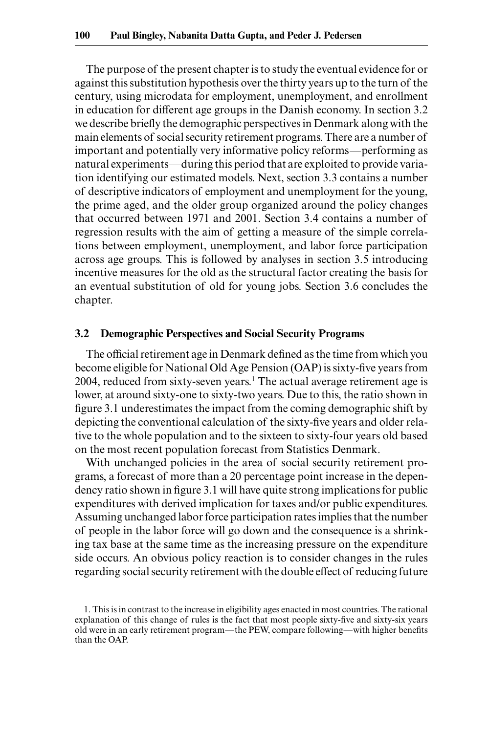The purpose of the present chapter is to study the eventual evidence for or against this substitution hypothesis over the thirty years up to the turn of the century, using microdata for employment, unemployment, and enrollment in education for different age groups in the Danish economy. In section 3.2 we describe briefly the demographic perspectives in Denmark along with the main elements of social security retirement programs. There are a number of important and potentially very informative policy reforms—performing as natural experiments—during this period that are exploited to provide variation identifying our estimated models. Next, section 3.3 contains a number of descriptive indicators of employment and unemployment for the young, the prime aged, and the older group organized around the policy changes that occurred between 1971 and 2001. Section 3.4 contains a number of regression results with the aim of getting a measure of the simple correlations between employment, unemployment, and labor force participation across age groups. This is followed by analyses in section 3.5 introducing incentive measures for the old as the structural factor creating the basis for an eventual substitution of old for young jobs. Section 3.6 concludes the chapter.

#### **3.2 Demographic Perspectives and Social Security Programs**

The official retirement age in Denmark defined as the time from which you become eligible for National Old Age Pension (OAP) is sixty-five years from 2004, reduced from sixty-seven years.<sup>1</sup> The actual average retirement age is lower, at around sixty-one to sixty-two years. Due to this, the ratio shown in figure 3.1 underestimates the impact from the coming demographic shift by depicting the conventional calculation of the sixty-five years and older relative to the whole population and to the sixteen to sixty- four years old based on the most recent population forecast from Statistics Denmark.

With unchanged policies in the area of social security retirement programs, a forecast of more than a 20 percentage point increase in the dependency ratio shown in figure 3.1 will have quite strong implications for public expenditures with derived implication for taxes and/ or public expenditures. Assuming unchanged labor force participation rates implies that the number of people in the labor force will go down and the consequence is a shrinking tax base at the same time as the increasing pressure on the expenditure side occurs. An obvious policy reaction is to consider changes in the rules regarding social security retirement with the double effect of reducing future

<sup>1.</sup> This is in contrast to the increase in eligibility ages enacted in most countries. The rational explanation of this change of rules is the fact that most people sixty-five and sixty-six years old were in an early retirement program—the PEW, compare following—with higher benefits than the OAP.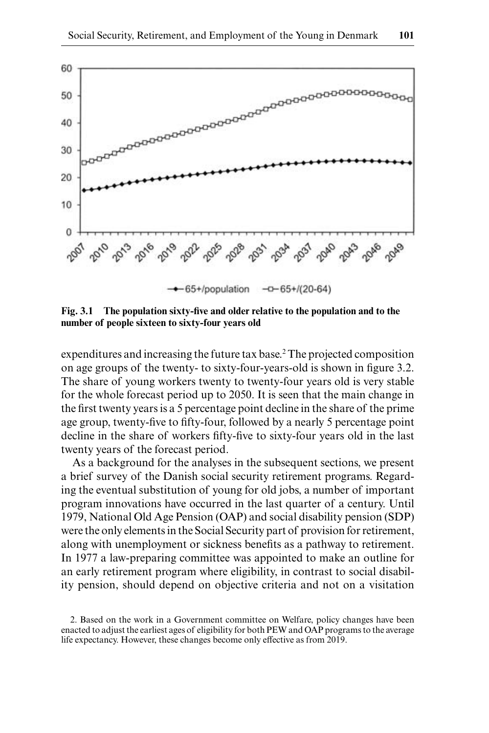

**Fig. 3.1** The population sixty-five and older relative to the population and to the number of people sixteen to sixty-four years old

expenditures and increasing the future tax base.2 The projected composition on age groups of the twenty- to sixty-four-years-old is shown in figure 3.2. The share of young workers twenty to twenty-four years old is very stable for the whole forecast period up to 2050. It is seen that the main change in the first twenty years is a 5 percentage point decline in the share of the prime age group, twenty-five to fifty-four, followed by a nearly 5 percentage point decline in the share of workers fifty-five to sixty-four years old in the last twenty years of the forecast period.

As a background for the analyses in the subsequent sections, we present a brief survey of the Danish social security retirement programs. Regarding the eventual substitution of young for old jobs, a number of important program innovations have occurred in the last quarter of a century. Until 1979, National Old Age Pension (OAP) and social disability pension (SDP) were the only elements in the Social Security part of provision for retirement, along with unemployment or sickness benefits as a pathway to retirement. In 1977 a law-preparing committee was appointed to make an outline for an early retirement program where eligibility, in contrast to social disability pension, should depend on objective criteria and not on a visitation

<sup>2.</sup> Based on the work in a Government committee on Welfare, policy changes have been enacted to adjust the earliest ages of eligibility for both PEW and OAP programs to the average life expectancy. However, these changes become only effective as from 2019.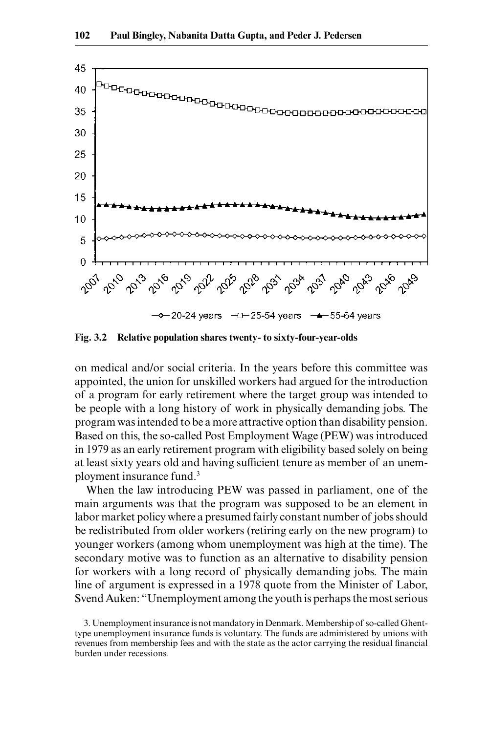

Fig. 3.2 Relative population shares twenty- to sixty-four-year-olds

on medical and/or social criteria. In the years before this committee was appointed, the union for unskilled workers had argued for the introduction of a program for early retirement where the target group was intended to be people with a long history of work in physically demanding jobs. The program was intended to be a more attractive option than disability pension. Based on this, the so-called Post Employment Wage (PEW) was introduced in 1979 as an early retirement program with eligibility based solely on being at least sixty years old and having sufficient tenure as member of an unemployment insurance fund.3

When the law introducing PEW was passed in parliament, one of the main arguments was that the program was supposed to be an element in labor market policy where a presumed fairly constant number of jobs should be redistributed from older workers (retiring early on the new program) to younger workers (among whom unemployment was high at the time). The secondary motive was to function as an alternative to disability pension for workers with a long record of physically demanding jobs. The main line of argument is expressed in a 1978 quote from the Minister of Labor, Svend Auken: "Unemployment among the youth is perhaps the most serious

<sup>3.</sup> Unemployment insurance is not mandatory in Denmark. Membership of so- called Ghent type unemployment insurance funds is voluntary. The funds are administered by unions with revenues from membership fees and with the state as the actor carrying the residual financial burden under recessions.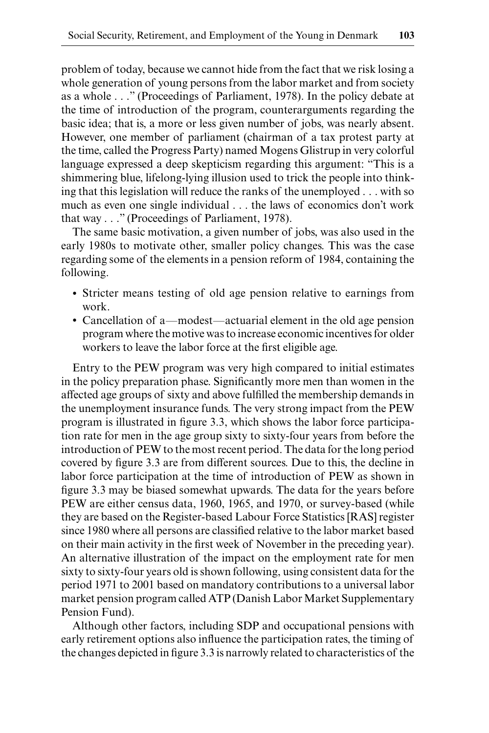problem of today, because we cannot hide from the fact that we risk losing a whole generation of young persons from the labor market and from society as a whole . . ." (Proceedings of Parliament, 1978). In the policy debate at the time of introduction of the program, counterarguments regarding the basic idea; that is, a more or less given number of jobs, was nearly absent. However, one member of parliament (chairman of a tax protest party at the time, called the Progress Party) named Mogens Glistrup in very colorful language expressed a deep skepticism regarding this argument: "This is a shimmering blue, lifelong-lying illusion used to trick the people into thinking that this legislation will reduce the ranks of the unemployed . . . with so much as even one single individual . . . the laws of economics don't work that way . . ." (Proceedings of Parliament, 1978).

The same basic motivation, a given number of jobs, was also used in the early 1980s to motivate other, smaller policy changes. This was the case regarding some of the elements in a pension reform of 1984, containing the following.

- Stricter means testing of old age pension relative to earnings from work.
- Cancellation of a—modest—actuarial element in the old age pension program where the motive was to increase economic incentives for older workers to leave the labor force at the first eligible age.

Entry to the PEW program was very high compared to initial estimates in the policy preparation phase. Significantly more men than women in the affected age groups of sixty and above fulfilled the membership demands in the unemployment insurance funds. The very strong impact from the PEW program is illustrated in figure 3.3, which shows the labor force participation rate for men in the age group sixty to sixty- four years from before the introduction of PEW to the most recent period. The data for the long period covered by figure 3.3 are from different sources. Due to this, the decline in labor force participation at the time of introduction of PEW as shown in figure 3.3 may be biased somewhat upwards. The data for the years before PEW are either census data, 1960, 1965, and 1970, or survey-based (while they are based on the Register- based Labour Force Statistics [RAS] register since 1980 where all persons are classified relative to the labor market based on their main activity in the first week of November in the preceding year). An alternative illustration of the impact on the employment rate for men sixty to sixty-four years old is shown following, using consistent data for the period 1971 to 2001 based on mandatory contributions to a universal labor market pension program called ATP (Danish Labor Market Supplementary Pension Fund).

Although other factors, including SDP and occupational pensions with early retirement options also influence the participation rates, the timing of the changes depicted in figure 3.3 is narrowly related to characteristics of the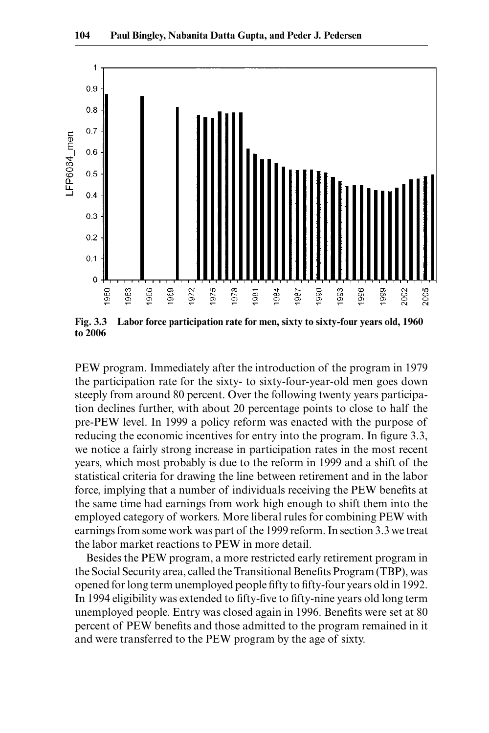

Fig. 3.3 Labor force participation rate for men, sixty to sixty-four years old, 1960 **to 2006**

PEW program. Immediately after the introduction of the program in 1979 the participation rate for the sixty- to sixty- four- year- old men goes down steeply from around 80 percent. Over the following twenty years participation declines further, with about 20 percentage points to close to half the pre- PEW level. In 1999 a policy reform was enacted with the purpose of reducing the economic incentives for entry into the program. In figure 3.3, we notice a fairly strong increase in participation rates in the most recent years, which most probably is due to the reform in 1999 and a shift of the statistical criteria for drawing the line between retirement and in the labor force, implying that a number of individuals receiving the PEW benefits at the same time had earnings from work high enough to shift them into the employed category of workers. More liberal rules for combining PEW with earnings from some work was part of the 1999 reform. In section 3.3 we treat the labor market reactions to PEW in more detail.

Besides the PEW program, a more restricted early retirement program in the Social Security area, called the Transitional Benefits Program (TBP), was opened for long term unemployed people fifty to fifty-four years old in 1992. In 1994 eligibility was extended to fifty-five to fifty-nine years old long term unemployed people. Entry was closed again in 1996. Benefits were set at 80 percent of PEW benefits and those admitted to the program remained in it and were transferred to the PEW program by the age of sixty.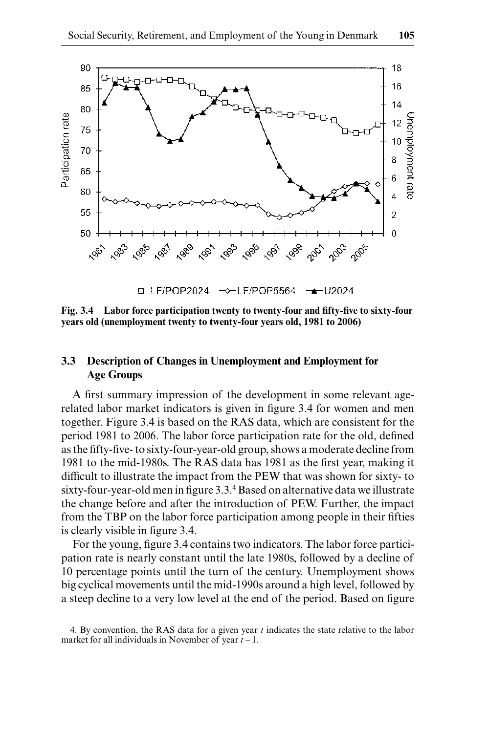

Fig. 3.4 Labor force participation twenty to twenty-four and fifty-five to sixty-four **years old (unemployment twenty to twenty- four years old, 1981 to 2006)**

### **3.3 Description of Changes in Unemployment and Employment for Age Groups**

A first summary impression of the development in some relevant agerelated labor market indicators is given in figure 3.4 for women and men together. Figure 3.4 is based on the RAS data, which are consistent for the period 1981 to 2006. The labor force participation rate for the old, defined as the fifty-five- to sixty-four-year-old group, shows a moderate decline from 1981 to the mid-1980s. The RAS data has 1981 as the first year, making it difficult to illustrate the impact from the PEW that was shown for sixty- to sixty-four-year-old men in figure 3.3.<sup>4</sup> Based on alternative data we illustrate the change before and after the introduction of PEW. Further, the impact from the TBP on the labor force participation among people in their fifties is clearly visible in figure 3.4.

For the young, figure 3.4 contains two indicators. The labor force participation rate is nearly constant until the late 1980s, followed by a decline of 10 percentage points until the turn of the century. Unemployment shows big cyclical movements until the mid- 1990s around a high level, followed by a steep decline to a very low level at the end of the period. Based on figure

<sup>4.</sup> By convention, the RAS data for a given year *t* indicates the state relative to the labor market for all individuals in November of year *t* – 1.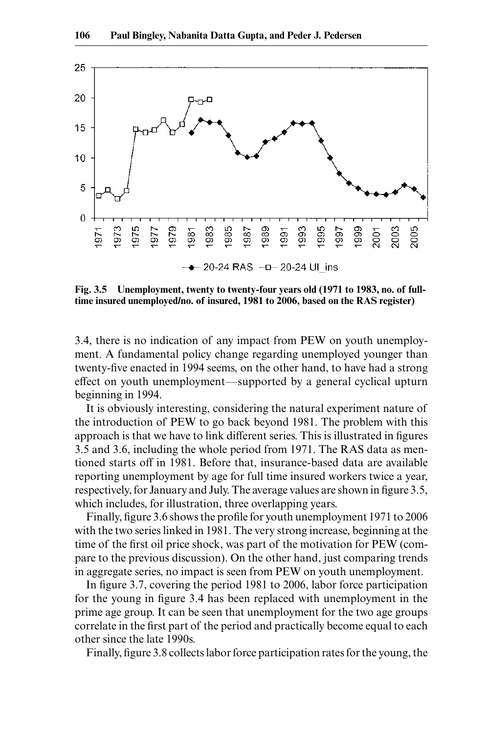

Fig. 3.5 Unemployment, twenty to twenty-four years old (1971 to 1983, no. of fulltime insured unemployed/no. of insured, 1981 to 2006, based on the RAS register)

3.4, there is no indication of any impact from PEW on youth unemployment. A fundamental policy change regarding unemployed younger than twenty-five enacted in 1994 seems, on the other hand, to have had a strong effect on youth unemployment—supported by a general cyclical upturn beginning in 1994.

It is obviously interesting, considering the natural experiment nature of the introduction of PEW to go back beyond 1981. The problem with this approach is that we have to link different series. This is illustrated in figures 3.5 and 3.6, including the whole period from 1971. The RAS data as mentioned starts off in 1981. Before that, insurance- based data are available reporting unemployment by age for full time insured workers twice a year, respectively, for January and July. The average values are shown in figure 3.5, which includes, for illustration, three overlapping years.

Finally, figure 3.6 shows the profile for youth unemployment 1971 to 2006 with the two series linked in 1981. The very strong increase, beginning at the time of the first oil price shock, was part of the motivation for PEW (compare to the previous discussion). On the other hand, just comparing trends in aggregate series, no impact is seen from PEW on youth unemployment.

In figure 3.7, covering the period 1981 to 2006, labor force participation for the young in figure 3.4 has been replaced with unemployment in the prime age group. It can be seen that unemployment for the two age groups correlate in the first part of the period and practically become equal to each other since the late 1990s.

Finally, figure 3.8 collects labor force participation rates for the young, the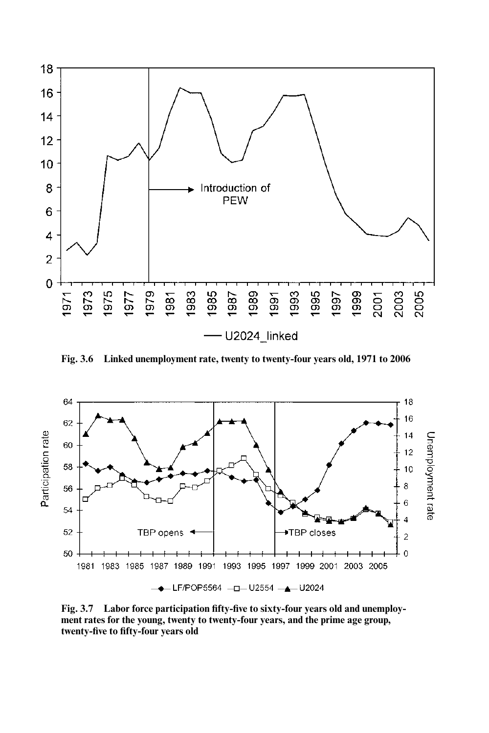

**Fig. 3.6 Linked unemployment rate, twenty to twenty- four years old, 1971 to 2006**



Fig. 3.7 Labor force participation fifty-five to sixty-four years old and unemployment rates for the young, twenty to twenty-four years, and the prime age group, twenty-five to fifty-four years old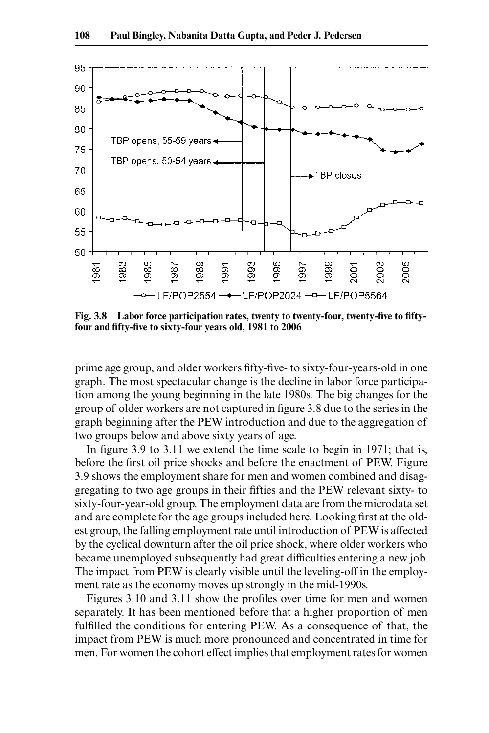

Fig. 3.8 Labor force participation rates, twenty to twenty-four, twenty-five to fiftyfour and fifty-five to sixty-four years old, 1981 to 2006

prime age group, and older workers fifty-five- to sixty-four-years-old in one graph. The most spectacular change is the decline in labor force participation among the young beginning in the late 1980s. The big changes for the group of older workers are not captured in figure 3.8 due to the series in the graph beginning after the PEW introduction and due to the aggregation of two groups below and above sixty years of age.

In figure 3.9 to 3.11 we extend the time scale to begin in 1971; that is, before the first oil price shocks and before the enactment of PEW. Figure 3.9 shows the employment share for men and women combined and disaggregating to two age groups in their fifties and the PEW relevant sixty- to sixty- four- year- old group. The employment data are from the microdata set and are complete for the age groups included here. Looking first at the oldest group, the falling employment rate until introduction of PEW is affected by the cyclical downturn after the oil price shock, where older workers who became unemployed subsequently had great difficulties entering a new job. The impact from PEW is clearly visible until the leveling-off in the employment rate as the economy moves up strongly in the mid-1990s.

Figures 3.10 and 3.11 show the profiles over time for men and women separately. It has been mentioned before that a higher proportion of men fulfilled the conditions for entering PEW. As a consequence of that, the impact from PEW is much more pronounced and concentrated in time for men. For women the cohort effect implies that employment rates for women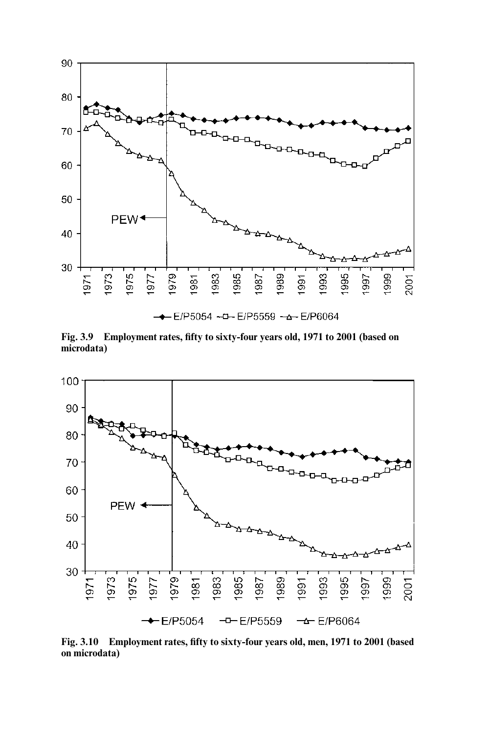

Fig. 3.9 Employment rates, fifty to sixty-four years old, 1971 to 2001 (based on **microdata)**



Fig. 3.10 Employment rates, fifty to sixty-four years old, men, 1971 to 2001 (based **on microdata)**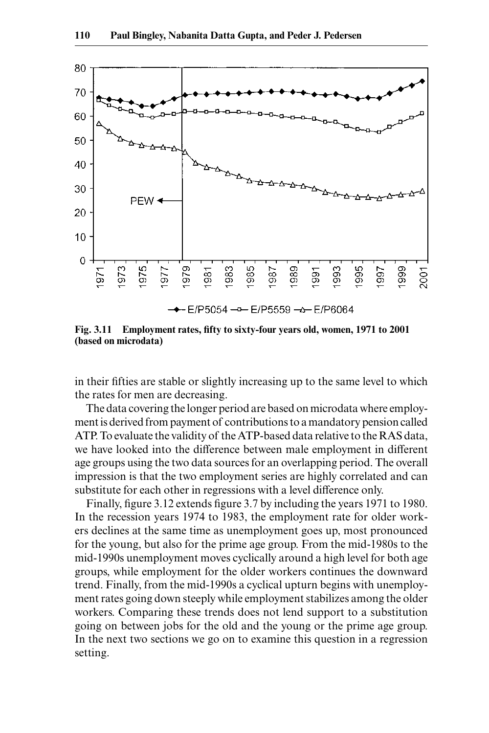

Fig. 3.11 Employment rates, fifty to sixty-four years old, women, 1971 to 2001 **(based on microdata)**

in their fifties are stable or slightly increasing up to the same level to which the rates for men are decreasing.

The data covering the longer period are based on microdata where employment is derived from payment of contributions to a mandatory pension called ATP. To evaluate the validity of the ATP- based data relative to the RAS data, we have looked into the difference between male employment in different age groups using the two data sources for an overlapping period. The overall impression is that the two employment series are highly correlated and can substitute for each other in regressions with a level difference only.

Finally, figure 3.12 extends figure 3.7 by including the years 1971 to 1980. In the recession years 1974 to 1983, the employment rate for older workers declines at the same time as unemployment goes up, most pronounced for the young, but also for the prime age group. From the mid- 1980s to the mid- 1990s unemployment moves cyclically around a high level for both age groups, while employment for the older workers continues the downward trend. Finally, from the mid- 1990s a cyclical upturn begins with unemployment rates going down steeply while employment stabilizes among the older workers. Comparing these trends does not lend support to a substitution going on between jobs for the old and the young or the prime age group. In the next two sections we go on to examine this question in a regression setting.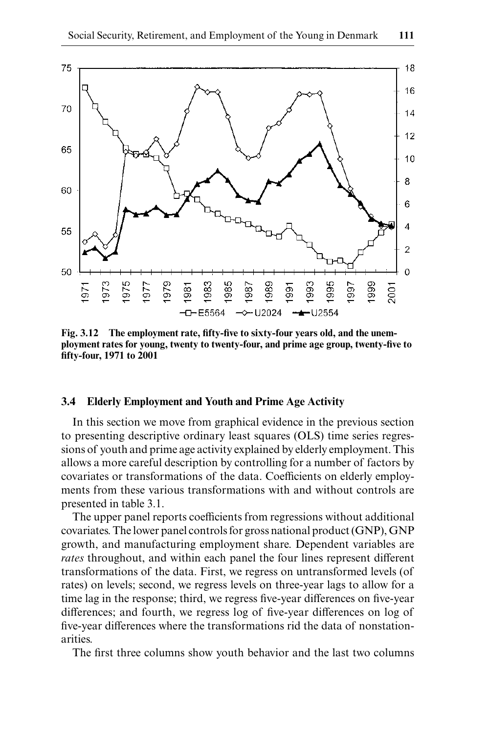

Fig. 3.12 The employment rate, fifty-five to sixty-four years old, and the unem**ployment rates for young, twenty to twenty-four, and prime age group, twenty-five to fi fty- four, 1971 to 2001**

#### **3.4 Elderly Employment and Youth and Prime Age Activity**

In this section we move from graphical evidence in the previous section to presenting descriptive ordinary least squares (OLS) time series regressions of youth and prime age activity explained by elderly employment. This allows a more careful description by controlling for a number of factors by covariates or transformations of the data. Coefficients on elderly employments from these various transformations with and without controls are presented in table 3.1.

The upper panel reports coefficients from regressions without additional covariates. The lower panel controls for gross national product (GNP), GNP growth, and manufacturing employment share. Dependent variables are *rates* throughout, and within each panel the four lines represent different transformations of the data. First, we regress on untransformed levels (of rates) on levels; second, we regress levels on three- year lags to allow for a time lag in the response; third, we regress five-year differences on five-year differences; and fourth, we regress log of five-year differences on log of five-year differences where the transformations rid the data of nonstationarities.

The first three columns show youth behavior and the last two columns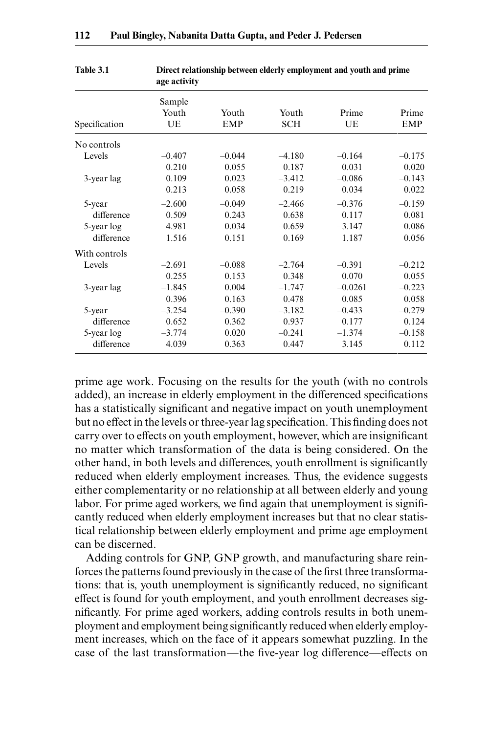|               | agu autrity           |                     |              |             |                     |
|---------------|-----------------------|---------------------|--------------|-------------|---------------------|
| Specification | Sample<br>Youth<br>UE | Youth<br><b>EMP</b> | Youth<br>SCH | Prime<br>UE | Prime<br><b>EMP</b> |
| No controls   |                       |                     |              |             |                     |
| Levels        | $-0.407$              | $-0.044$            | $-4.180$     | $-0.164$    | $-0.175$            |
|               | 0.210                 | 0.055               | 0.187        | 0.031       | 0.020               |
| 3-year lag    | 0.109                 | 0.023               | $-3.412$     | $-0.086$    | $-0.143$            |
|               | 0.213                 | 0.058               | 0.219        | 0.034       | 0.022               |
| 5-year        | $-2.600$              | $-0.049$            | $-2.466$     | $-0.376$    | $-0.159$            |
| difference    | 0.509                 | 0.243               | 0.638        | 0.117       | 0.081               |
| 5-year log    | $-4.981$              | 0.034               | $-0.659$     | $-3.147$    | $-0.086$            |
| difference    | 1.516                 | 0.151               | 0.169        | 1.187       | 0.056               |
| With controls |                       |                     |              |             |                     |
| Levels        | $-2.691$              | $-0.088$            | $-2.764$     | $-0.391$    | $-0.212$            |
|               | 0.255                 | 0.153               | 0.348        | 0.070       | 0.055               |
| 3-year lag    | $-1.845$              | 0.004               | $-1.747$     | $-0.0261$   | $-0.223$            |
|               | 0.396                 | 0.163               | 0.478        | 0.085       | 0.058               |
| 5-year        | $-3.254$              | $-0.390$            | $-3.182$     | $-0.433$    | $-0.279$            |
| difference    | 0.652                 | 0.362               | 0.937        | 0.177       | 0.124               |
| 5-year log    | $-3.774$              | 0.020               | $-0.241$     | $-1.374$    | $-0.158$            |
| difference    | 4.039                 | 0.363               | 0.447        | 3.145       | 0.112               |

**Table 3.1 Direct relationship between elderly employment and youth and prime age activity**

prime age work. Focusing on the results for the youth (with no controls added), an increase in elderly employment in the differenced specifications has a statistically significant and negative impact on youth unemployment but no effect in the levels or three-year lag specification. This finding does not carry over to effects on youth employment, however, which are insignificant no matter which transformation of the data is being considered. On the other hand, in both levels and differences, youth enrollment is significantly reduced when elderly employment increases. Thus, the evidence suggests either complementarity or no relationship at all between elderly and young labor. For prime aged workers, we find again that unemployment is significantly reduced when elderly employment increases but that no clear statistical relationship between elderly employment and prime age employment can be discerned.

Adding controls for GNP, GNP growth, and manufacturing share reinforces the patterns found previously in the case of the first three transformations: that is, youth unemployment is significantly reduced, no significant effect is found for youth employment, and youth enrollment decreases significantly. For prime aged workers, adding controls results in both unemployment and employment being significantly reduced when elderly employment increases, which on the face of it appears somewhat puzzling. In the case of the last transformation—the five-year log difference—effects on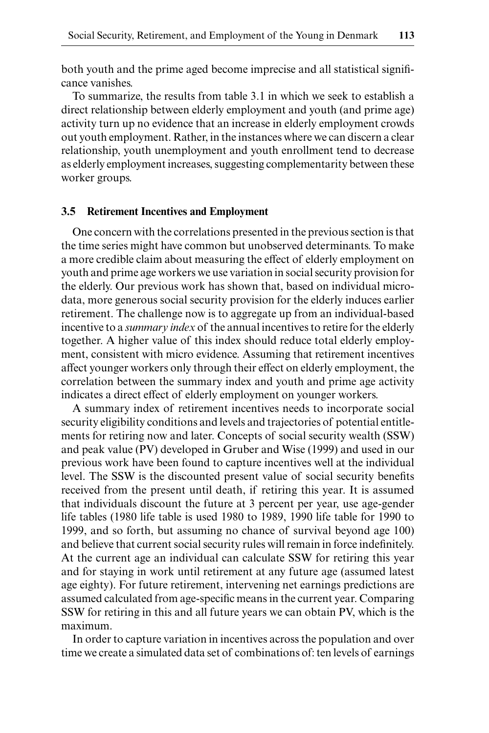both youth and the prime aged become imprecise and all statistical significance vanishes.

To summarize, the results from table 3.1 in which we seek to establish a direct relationship between elderly employment and youth (and prime age) activity turn up no evidence that an increase in elderly employment crowds out youth employment. Rather, in the instances where we can discern a clear relationship, youth unemployment and youth enrollment tend to decrease as elderly employment increases, suggesting complementarity between these worker groups.

#### **3.5 Retirement Incentives and Employment**

One concern with the correlations presented in the previous section is that the time series might have common but unobserved determinants. To make a more credible claim about measuring the effect of elderly employment on youth and prime age workers we use variation in social security provision for the elderly. Our previous work has shown that, based on individual microdata, more generous social security provision for the elderly induces earlier retirement. The challenge now is to aggregate up from an individual-based incentive to a *summary index* of the annual incentives to retire for the elderly together. A higher value of this index should reduce total elderly employment, consistent with micro evidence. Assuming that retirement incentives affect younger workers only through their effect on elderly employment, the correlation between the summary index and youth and prime age activity indicates a direct effect of elderly employment on younger workers.

A summary index of retirement incentives needs to incorporate social security eligibility conditions and levels and trajectories of potential entitlements for retiring now and later. Concepts of social security wealth (SSW) and peak value (PV) developed in Gruber and Wise (1999) and used in our previous work have been found to capture incentives well at the individual level. The SSW is the discounted present value of social security benefits received from the present until death, if retiring this year. It is assumed that individuals discount the future at 3 percent per year, use age- gender life tables (1980 life table is used 1980 to 1989, 1990 life table for 1990 to 1999, and so forth, but assuming no chance of survival beyond age 100) and believe that current social security rules will remain in force indefinitely. At the current age an individual can calculate SSW for retiring this year and for staying in work until retirement at any future age (assumed latest age eighty). For future retirement, intervening net earnings predictions are assumed calculated from age-specific means in the current year. Comparing SSW for retiring in this and all future years we can obtain PV, which is the maximum.

In order to capture variation in incentives across the population and over time we create a simulated data set of combinations of: ten levels of earnings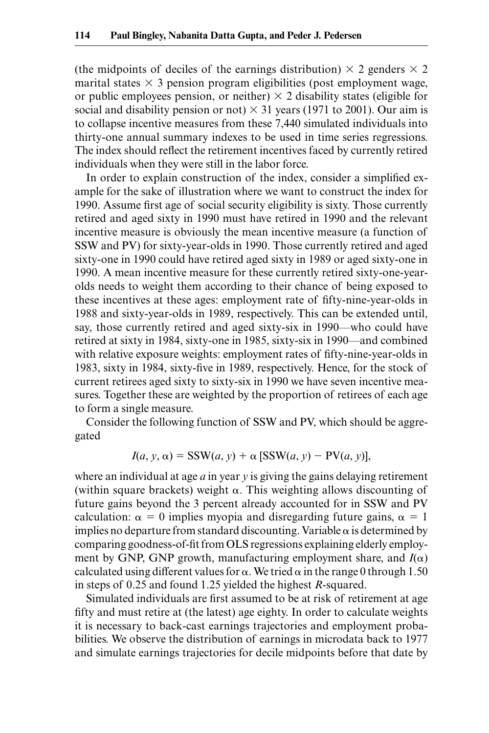(the midpoints of deciles of the earnings distribution)  $\times$  2 genders  $\times$  2 marital states  $\times$  3 pension program eligibilities (post employment wage, or public employees pension, or neither)  $\times$  2 disability states (eligible for social and disability pension or not)  $\times$  31 years (1971 to 2001). Our aim is to collapse incentive measures from these 7,440 simulated individuals into thirty- one annual summary indexes to be used in time series regressions. The index should reflect the retirement incentives faced by currently retired individuals when they were still in the labor force.

In order to explain construction of the index, consider a simplified example for the sake of illustration where we want to construct the index for 1990. Assume first age of social security eligibility is sixty. Those currently retired and aged sixty in 1990 must have retired in 1990 and the relevant incentive measure is obviously the mean incentive measure (a function of SSW and PV) for sixty- year- olds in 1990. Those currently retired and aged sixty-one in 1990 could have retired aged sixty in 1989 or aged sixty-one in 1990. A mean incentive measure for these currently retired sixty-one-year olds needs to weight them according to their chance of being exposed to these incentives at these ages: employment rate of fifty-nine-year-olds in 1988 and sixty- year- olds in 1989, respectively. This can be extended until, say, those currently retired and aged sixty-six in 1990—who could have retired at sixty in 1984, sixty-one in 1985, sixty-six in 1990—and combined with relative exposure weights: employment rates of fifty-nine-year-olds in 1983, sixty in 1984, sixty-five in 1989, respectively. Hence, for the stock of current retirees aged sixty to sixty-six in 1990 we have seven incentive measures. Together these are weighted by the proportion of retirees of each age to form a single measure.

Consider the following function of SSW and PV, which should be aggregated

$$
I(a, y, \alpha) = \text{SSW}(a, y) + \alpha \text{[SSW}(a, y) - \text{PV}(a, y)],
$$

where an individual at age *a* in year *y* is giving the gains delaying retirement (within square brackets) weight  $\alpha$ . This weighting allows discounting of future gains beyond the 3 percent already accounted for in SSW and PV calculation:  $\alpha = 0$  implies myopia and disregarding future gains,  $\alpha = 1$ implies no departure from standard discounting. Variable  $\alpha$  is determined by comparing goodness- of-fit from OLS regressions explaining elderly employment by GNP, GNP growth, manufacturing employment share, and  $I(\alpha)$ calculated using different values for  $\alpha$ . We tried  $\alpha$  in the range 0 through 1.50 in steps of 0.25 and found 1.25 yielded the highest *R*- squared.

Simulated individuals are first assumed to be at risk of retirement at age fifty and must retire at (the latest) age eighty. In order to calculate weights it is necessary to back-cast earnings trajectories and employment probabilities. We observe the distribution of earnings in microdata back to 1977 and simulate earnings trajectories for decile midpoints before that date by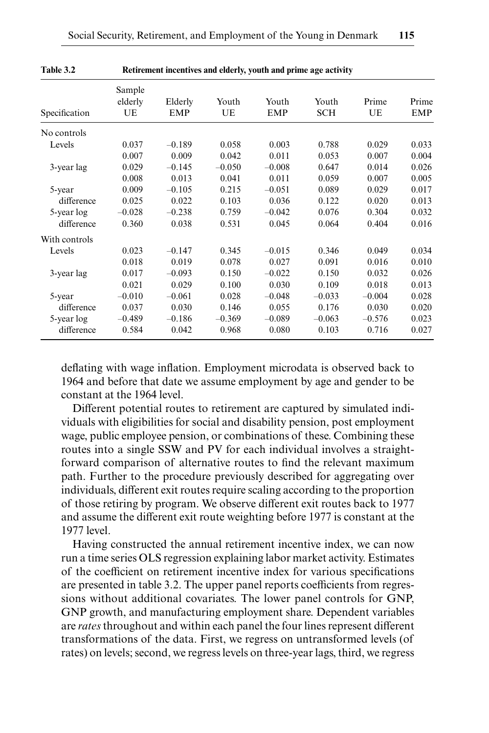| Specification | Sample<br>elderly<br>UE | Elderly<br><b>EMP</b> | Youth<br>UE | Youth<br><b>EMP</b> | Youth<br><b>SCH</b> | Prime<br>UE | Prime<br><b>EMP</b> |
|---------------|-------------------------|-----------------------|-------------|---------------------|---------------------|-------------|---------------------|
|               |                         |                       |             |                     |                     |             |                     |
| No controls   |                         |                       |             |                     |                     |             |                     |
| Levels        | 0.037                   | $-0.189$              | 0.058       | 0.003               | 0.788               | 0.029       | 0.033               |
|               | 0.007                   | 0.009                 | 0.042       | 0.011               | 0.053               | 0.007       | 0.004               |
| 3-year lag    | 0.029                   | $-0.145$              | $-0.050$    | $-0.008$            | 0.647               | 0.014       | 0.026               |
|               | 0.008                   | 0.013                 | 0.041       | 0.011               | 0.059               | 0.007       | 0.005               |
| 5-year        | 0.009                   | $-0.105$              | 0.215       | $-0.051$            | 0.089               | 0.029       | 0.017               |
| difference    | 0.025                   | 0.022                 | 0.103       | 0.036               | 0.122               | 0.020       | 0.013               |
| 5-year log    | $-0.028$                | $-0.238$              | 0.759       | $-0.042$            | 0.076               | 0.304       | 0.032               |
| difference    | 0.360                   | 0.038                 | 0.531       | 0.045               | 0.064               | 0.404       | 0.016               |
| With controls |                         |                       |             |                     |                     |             |                     |
| Levels        | 0.023                   | $-0.147$              | 0.345       | $-0.015$            | 0.346               | 0.049       | 0.034               |
|               | 0.018                   | 0.019                 | 0.078       | 0.027               | 0.091               | 0.016       | 0.010               |
| 3-year lag    | 0.017                   | $-0.093$              | 0.150       | $-0.022$            | 0.150               | 0.032       | 0.026               |
|               | 0.021                   | 0.029                 | 0.100       | 0.030               | 0.109               | 0.018       | 0.013               |
| 5-year        | $-0.010$                | $-0.061$              | 0.028       | $-0.048$            | $-0.033$            | $-0.004$    | 0.028               |
| difference    | 0.037                   | 0.030                 | 0.146       | 0.055               | 0.176               | 0.030       | 0.020               |
| 5-year log    | $-0.489$                | $-0.186$              | $-0.369$    | $-0.089$            | $-0.063$            | $-0.576$    | 0.023               |
| difference    | 0.584                   | 0.042                 | 0.968       | 0.080               | 0.103               | 0.716       | 0.027               |

**Table 3.2 Retirement incentives and elderly, youth and prime age activity**

deflating with wage inflation. Employment microdata is observed back to 1964 and before that date we assume employment by age and gender to be constant at the 1964 level.

Different potential routes to retirement are captured by simulated individuals with eligibilities for social and disability pension, post employment wage, public employee pension, or combinations of these. Combining these routes into a single SSW and PV for each individual involves a straightforward comparison of alternative routes to find the relevant maximum path. Further to the procedure previously described for aggregating over individuals, different exit routes require scaling according to the proportion of those retiring by program. We observe different exit routes back to 1977 and assume the different exit route weighting before 1977 is constant at the 1977 level.

Having constructed the annual retirement incentive index, we can now run a time series OLS regression explaining labor market activity. Estimates of the coefficient on retirement incentive index for various specifications are presented in table 3.2. The upper panel reports coefficients from regressions without additional covariates. The lower panel controls for GNP, GNP growth, and manufacturing employment share. Dependent variables are *rates* throughout and within each panel the four lines represent different transformations of the data. First, we regress on untransformed levels (of rates) on levels; second, we regress levels on three- year lags, third, we regress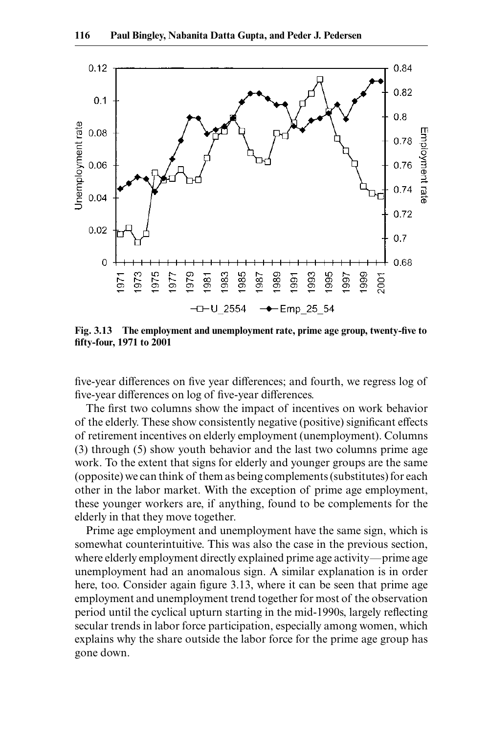

Fig. 3.13 The employment and unemployment rate, prime age group, twenty-five to **fi fty- four, 1971 to 2001**

five-year differences on five year differences; and fourth, we regress log of five-year differences on log of five-year differences.

The first two columns show the impact of incentives on work behavior of the elderly. These show consistently negative (positive) significant effects of retirement incentives on elderly employment (unemployment). Columns (3) through (5) show youth behavior and the last two columns prime age work. To the extent that signs for elderly and younger groups are the same (opposite) we can think of them as being complements (substitutes) for each other in the labor market. With the exception of prime age employment, these younger workers are, if anything, found to be complements for the elderly in that they move together.

Prime age employment and unemployment have the same sign, which is somewhat counterintuitive. This was also the case in the previous section, where elderly employment directly explained prime age activity—prime age unemployment had an anomalous sign. A similar explanation is in order here, too. Consider again figure 3.13, where it can be seen that prime age employment and unemployment trend together for most of the observation period until the cyclical upturn starting in the mid-1990s, largely reflecting secular trends in labor force participation, especially among women, which explains why the share outside the labor force for the prime age group has gone down.